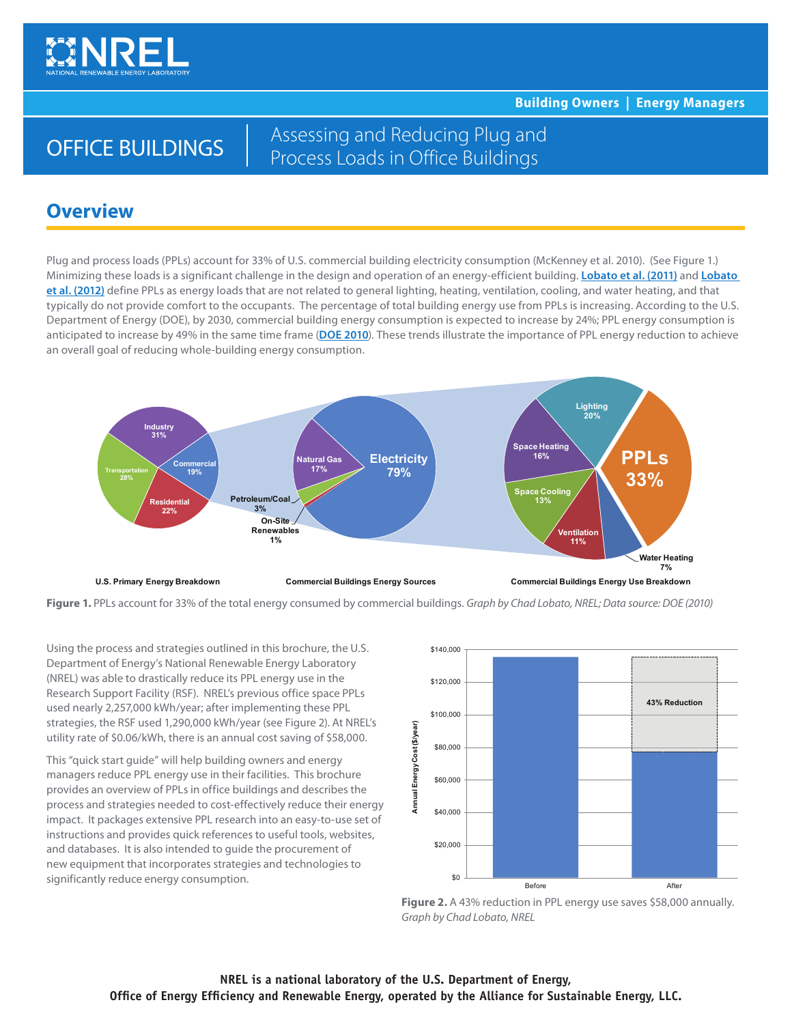

**Building Owners | Energy Managers**

# OFFICE BUILDINGS

Assessing and Reducing Plug and Process Loads in Office Buildings

## **Overview**

Plug and process loads (PPLs) account for 33% of U.S. commercial building electricity consumption (McKenney et al. 2010). (See Figure 1.) Minimizing these loads is a significant challenge in the design and operation of an energy-efficient building. **[Lobato et al. \(2011\)](http://www.nrel.gov/docs/fy11osti/49002.pdf)** and **[Lobato](http://www.nrel.gov/docs/fy12osti/51708.pdf)  [et al. \(2012\)](http://www.nrel.gov/docs/fy12osti/51708.pdf)** define PPLs as energy loads that are not related to general lighting, heating, ventilation, cooling, and water heating, and that typically do not provide comfort to the occupants. The percentage of total building energy use from PPLs is increasing. According to the U.S. Department of Energy (DOE), by 2030, commercial building energy consumption is expected to increase by 24%; PPL energy consumption is anticipated to increase by 49% in the same time frame (**[DOE 2010](http://buildingsdatabook.eere.energy.gov/)**). These trends illustrate the importance of PPL energy reduction to achieve an overall goal of reducing whole-building energy consumption.



**Figure 1.** PPLs account for 33% of the total energy consumed by commercial buildings. *Graph by Chad Lobato, NREL; Data source: DOE (2010)*

Using the process and strategies outlined in this brochure, the U.S. Department of Energy's National Renewable Energy Laboratory (NREL) was able to drastically reduce its PPL energy use in the Research Support Facility (RSF). NREL's previous office space PPLs used nearly 2,257,000 kWh/year; after implementing these PPL strategies, the RSF used 1,290,000 kWh/year (see Figure 2). At NREL's utility rate of \$[0.06/kWh,](0.06/kWh) there is an annual cost saving of \$58,000.

This "quick start guide" will help building owners and energy managers reduce PPL energy use in their facilities. This brochure provides an overview of PPLs in office buildings and describes the process and strategies needed to cost-effectively reduce their energy impact. It packages extensive PPL research into an easy-to-use set of instructions and provides quick references to useful tools, websites, and databases. It is also intended to guide the procurement of new equipment that incorporates strategies and technologies to significantly reduce energy consumption.  $\frac{1}{2}$ 



Figure 2. A 43% reduction in PPL energy use saves \$58,000 annually. *Graph by Chad Lobato, NREL*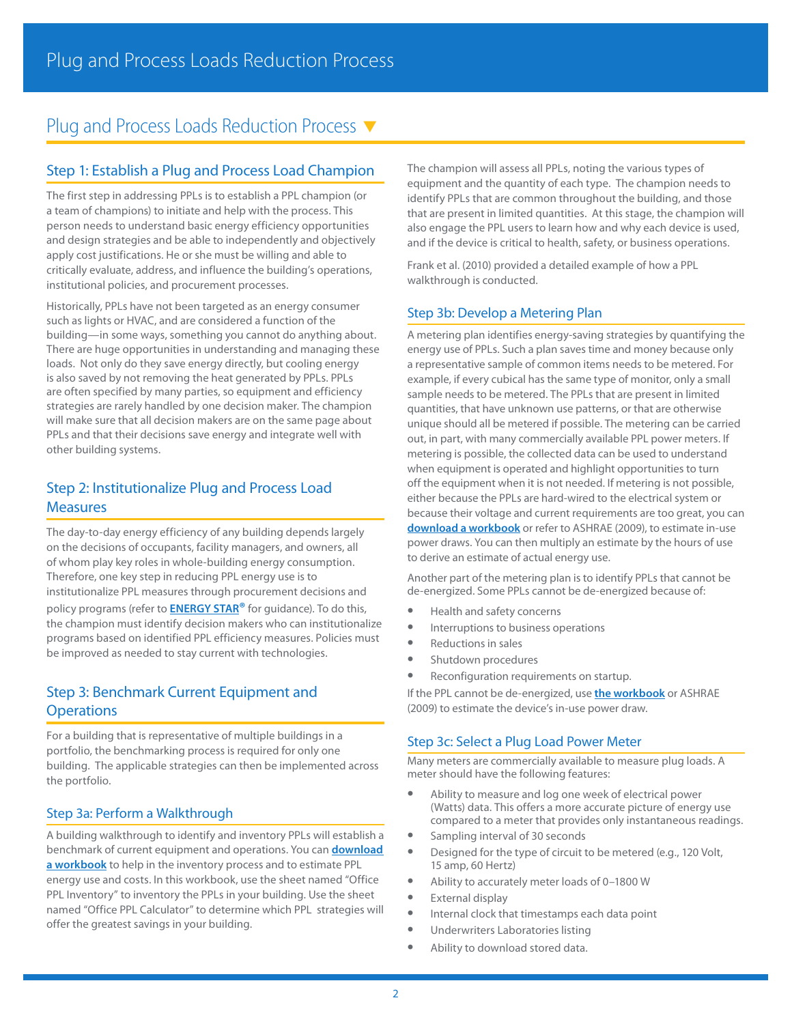## Plug and Process Loads Reduction Process  $\blacktriangledown$

## Step 1: Establish a Plug and Process Load Champion

The first step in addressing PPLs is to establish a PPL champion (or a team of champions) to initiate and help with the process. This person needs to understand basic energy efficiency opportunities and design strategies and be able to independently and objectively apply cost justifications. He or she must be willing and able to critically evaluate, address, and influence the building's operations, institutional policies, and procurement processes.

Historically, PPLs have not been targeted as an energy consumer such as lights or HVAC, and are considered a function of the building—in some ways, something you cannot do anything about. There are huge opportunities in understanding and managing these loads. Not only do they save energy directly, but cooling energy is also saved by not removing the heat generated by PPLs. PPLs are often specified by many parties, so equipment and efficiency strategies are rarely handled by one decision maker. The champion will make sure that all decision makers are on the same page about PPLs and that their decisions save energy and integrate well with other building systems.

## Step 2: Institutionalize Plug and Process Load **Measures**

The day-to-day energy efficiency of any building depends largely on the decisions of occupants, facility managers, and owners, all of whom play key roles in whole-building energy consumption. Therefore, one key step in reducing PPL energy use is to institutionalize PPL measures through procurement decisions and policy programs (refer to **[ENERGY STAR®](http://www.energystar.gov/index.cfm?c=bulk_purchasing.bus_purchasing)** for guidance). To do this, the champion must identify decision makers who can institutionalize programs based on identified PPL efficiency measures. Policies must be improved as needed to stay current with technologies.

## Step 3: Benchmark Current Equipment and **Operations**

For a building that is representative of multiple buildings in a portfolio, the benchmarking process is required for only one building. The applicable strategies can then be implemented across the portfolio.

### Step 3a: Perform a Walkthrough

A building walkthrough to identify and inventory PPLs will establish a benchmark of current equipment and operations. You can **[download](http://www.nrel.gov/buildings/assets/docs/office_ppl_reduction_tool.xlsx)  [a workbook](http://www.nrel.gov/buildings/assets/docs/office_ppl_reduction_tool.xlsx)** to help in the inventory process and to estimate PPL energy use and costs. In this workbook, use the sheet named "Office PPL Inventory" to inventory the PPLs in your building. Use the sheet named "Office PPL Calculator" to determine which PPL strategies will offer the greatest savings in your building.

The champion will assess all PPLs, noting the various types of equipment and the quantity of each type. The champion needs to identify PPLs that are common throughout the building, and those that are present in limited quantities. At this stage, the champion will also engage the PPL users to learn how and why each device is used, and if the device is critical to health, safety, or business operations.

Frank et al. (2010) provided a detailed example of how a PPL walkthrough is conducted.

## Step 3b: Develop a Metering Plan

A metering plan identifies energy-saving strategies by quantifying the energy use of PPLs. Such a plan saves time and money because only a representative sample of common items needs to be metered. For example, if every cubical has the same type of monitor, only a small sample needs to be metered. The PPLs that are present in limited quantities, that have unknown use patterns, or that are otherwise unique should all be metered if possible. The metering can be carried out, in part, with many commercially available PPL power meters. If metering is possible, the collected data can be used to understand when equipment is operated and highlight opportunities to turn off the equipment when it is not needed. If metering is not possible, either because the PPLs are hard-wired to the electrical system or because their voltage and current requirements are too great, you can **[download a workbook](http://www.nrel.gov/buildings/assets/docs/office_ppl_reduction_tool.xlsx)** or refer to ASHRAE (2009), to estimate in-use power draws. You can then multiply an estimate by the hours of use to derive an estimate of actual energy use.

Another part of the metering plan is to identify PPLs that cannot be de-energized. Some PPLs cannot be de-energized because of:

- **•** Health and safety concerns
- **•** Interruptions to business operations
- **•** Reductions in sales
- **•** Shutdown procedures
- **•** Reconfiguration requirements on startup.

If the PPL cannot be de-energized, [use](http://www.nrel.gov/buildings/docs/retail_ppl_reduction_tool.xlsx) **[the workbook](http://www.nrel.gov/buildings/assets/docs/office_ppl_reduction_tool.xlsx)** or ASHRAE (2009) to estimate the device's in-use power draw.

### Step 3c: Select a Plug Load Power Meter

Many meters are commercially available to measure plug loads. A meter should have the following features:

- **•** Ability to measure and log one week of electrical power (Watts) data. This offers a more accurate picture of energy use compared to a meter that provides only instantaneous readings.
- **•** Sampling interval of 30 seconds
- **•** Designed for the type of circuit to be metered (e.g., 120 Volt, 15 amp, 60 Hertz)
- **•** Ability to accurately meter loads of 0–1800 W
- **•** External display
- **•** Internal clock that timestamps each data point
- **•** Underwriters Laboratories listing
- **•** Ability to download stored data.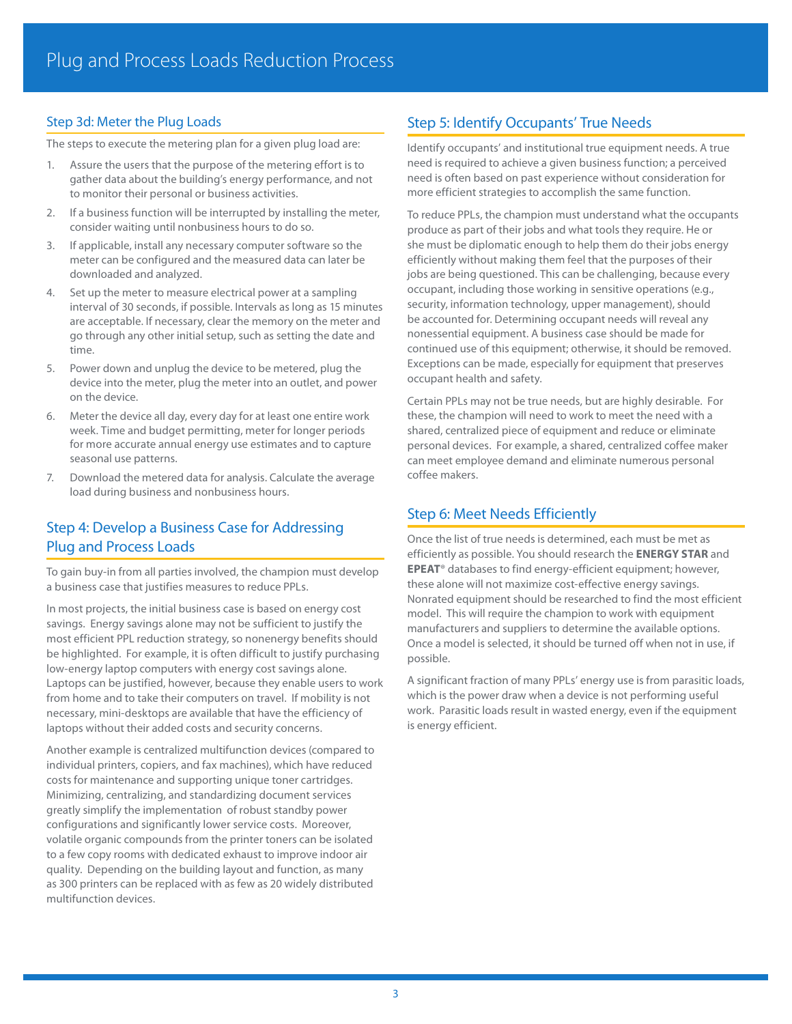## Step 3d: Meter the Plug Loads

The steps to execute the metering plan for a given plug load are:

- 1. Assure the users that the purpose of the metering effort is to gather data about the building's energy performance, and not to monitor their personal or business activities.
- 2. If a business function will be interrupted by installing the meter, consider waiting until nonbusiness hours to do so.
- 3. If applicable, install any necessary computer software so the meter can be configured and the measured data can later be downloaded and analyzed.
- 4. Set up the meter to measure electrical power at a sampling interval of 30 seconds, if possible. Intervals as long as 15 minutes are acceptable. If necessary, clear the memory on the meter and go through any other initial setup, such as setting the date and time.
- 5. Power down and unplug the device to be metered, plug the device into the meter, plug the meter into an outlet, and power on the device.
- 6. Meter the device all day, every day for at least one entire work week. Time and budget permitting, meter for longer periods for more accurate annual energy use estimates and to capture seasonal use patterns.
- 7. Download the metered data for analysis. Calculate the average load during business and nonbusiness hours.

## Step 4: Develop a Business Case for Addressing Plug and Process Loads

To gain buy-in from all parties involved, the champion must develop a business case that justifies measures to reduce PPLs.

In most projects, the initial business case is based on energy cost savings. Energy savings alone may not be sufficient to justify the most efficient PPL reduction strategy, so nonenergy benefits should be highlighted. For example, it is often difficult to justify purchasing low-energy laptop computers with energy cost savings alone. Laptops can be justified, however, because they enable users to work from home and to take their computers on travel. If mobility is not necessary, mini-desktops are available that have the efficiency of laptops without their added costs and security concerns.

Another example is centralized multifunction devices (compared to individual printers, copiers, and fax machines), which have reduced costs for maintenance and supporting unique toner cartridges. Minimizing, centralizing, and standardizing document services greatly simplify the implementation of robust standby power configurations and significantly lower service costs. Moreover, volatile organic compounds from the printer toners can be isolated to a few copy rooms with dedicated exhaust to improve indoor air quality. Depending on the building layout and function, as many as 300 printers can be replaced with as few as 20 widely distributed multifunction devices.

## Step 5: Identify Occupants' True Needs

Identify occupants' and institutional true equipment needs. A true need is required to achieve a given business function; a perceived need is often based on past experience without consideration for more efficient strategies to accomplish the same function.

To reduce PPLs, the champion must understand what the occupants produce as part of their jobs and what tools they require. He or she must be diplomatic enough to help them do their jobs energy efficiently without making them feel that the purposes of their jobs are being questioned. This can be challenging, because every occupant, including those working in sensitive operations (e.g., security, information technology, upper management), should be accounted for. Determining occupant needs will reveal any nonessential equipment. A business case should be made for continued use of this equipment; otherwise, it should be removed. Exceptions can be made, especially for equipment that preserves occupant health and safety.

Certain PPLs may not be true needs, but are highly desirable. For these, the champion will need to work to meet the need with a shared, centralized piece of equipment and reduce or eliminate personal devices. For example, a shared, centralized coffee maker can meet employee demand and eliminate numerous personal coffee makers.

## Step 6: Meet Needs Efficiently

Once the list of true needs is determined, each must be met as efficiently as possible. You should research the **ENERGY STAR** and **EPEAT**® databases to find energy-efficient equipment; however, these alone will not maximize cost-effective energy savings. Nonrated equipment should be researched to find the most efficient model. This will require the champion to work with equipment manufacturers and suppliers to determine the available options. Once a model is selected, it should be turned off when not in use, if possible.

A significant fraction of many PPLs' energy use is from parasitic loads, which is the power draw when a device is not performing useful work. Parasitic loads result in wasted energy, even if the equipment is energy efficient.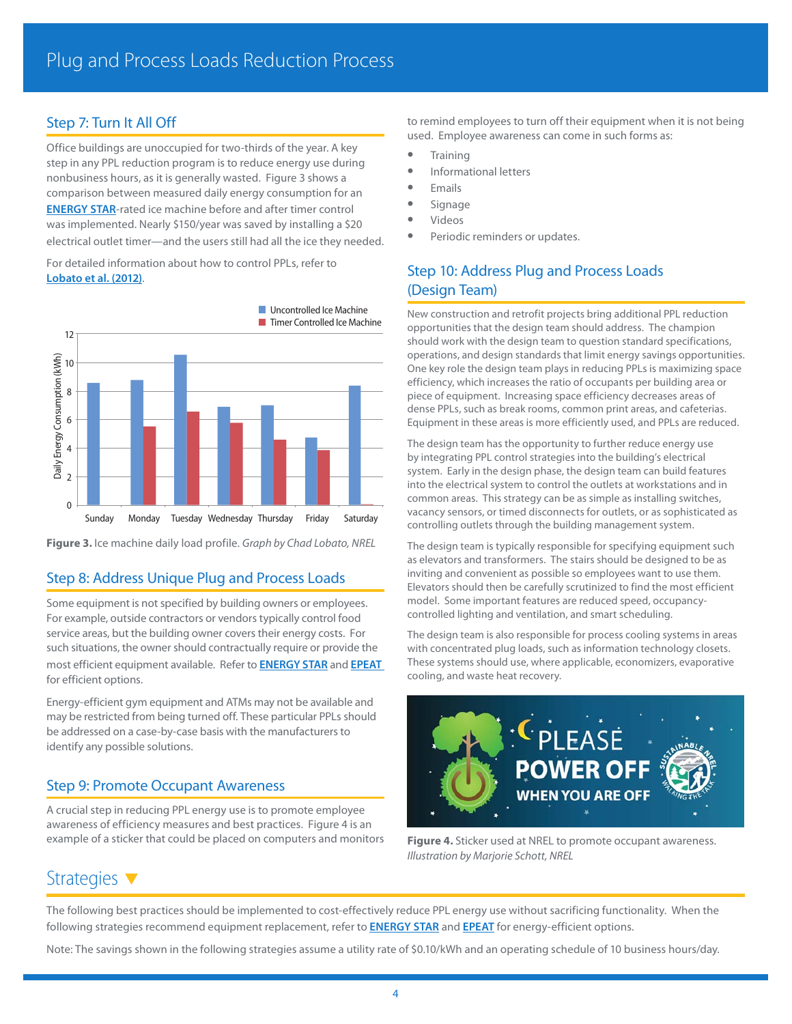## Step 7: Turn It All Off

Office buildings are unoccupied for two-thirds of the year. A key step in any PPL reduction program is to reduce energy use during nonbusiness hours, as it is generally wasted. Figure 3 shows a comparison between measured daily energy consumption for an **[ENERGY STAR](http://www.energystar.gov/index.cfm?c=products.pr_find_es_products)**-rated ice machine before and after timer control was implemented. Nearly \$150/year was saved by installing a \$20 electrical outlet timer—and the users still had all the ice they needed.

For detailed information about how to control PPLs, refer to **[Lobato et al. \(2012\)](http://www.nrel.gov/docs/fy12osti/51708.pdf)**.



**Figure 3.** Ice machine daily load profile. *Graph by Chad Lobato, NREL*

## Step 8: Address Unique Plug and Process Loads

Some equipment is not specified by building owners or employees. For example, outside contractors or vendors typically control food service areas, but the building owner covers their energy costs. For such situations, the owner should contractually require or provide the most efficient equipment available. Refer to **[ENERGY STAR](http://www.energystar.gov/index.cfm?c=products.pr_find_es_products)** and **[EPEAT](http://ww2.epeat.net/searchoptions.aspx)** for efficient options.

Energy-efficient gym equipment and ATMs may not be available and may be restricted from being turned off. These particular PPLs should be addressed on a case-by-case basis with the manufacturers to identify any possible solutions.

## Step 9: Promote Occupant Awareness

A crucial step in reducing PPL energy use is to promote employee awareness of efficiency measures and best practices. Figure 4 is an example of a sticker that could be placed on computers and monitors to remind employees to turn off their equipment when it is not being used. Employee awareness can come in such forms as:

- **•** Training
- **•** Informational letters
- **•** Emails
- **•** Signage
- **•** Videos
- **•** Periodic reminders or updates.

## Step 10: Address Plug and Process Loads (Design Team)

New construction and retrofit projects bring additional PPL reduction opportunities that the design team should address. The champion should work with the design team to question standard specifications, operations, and design standards that limit energy savings opportunities. One key role the design team plays in reducing PPLs is maximizing space efficiency, which increases the ratio of occupants per building area or piece of equipment. Increasing space efficiency decreases areas of dense PPLs, such as break rooms, common print areas, and cafeterias. Equipment in these areas is more efficiently used, and PPLs are reduced.

The design team has the opportunity to further reduce energy use by integrating PPL control strategies into the building's electrical system. Early in the design phase, the design team can build features into the electrical system to control the outlets at workstations and in common areas. This strategy can be as simple as installing switches, vacancy sensors, or timed disconnects for outlets, or as sophisticated as controlling outlets through the building management system.

The design team is typically responsible for specifying equipment such as elevators and transformers. The stairs should be designed to be as inviting and convenient as possible so employees want to use them. Elevators should then be carefully scrutinized to find the most efficient model. Some important features are reduced speed, occupancycontrolled lighting and ventilation, and smart scheduling.

The design team is also responsible for process cooling systems in areas with concentrated plug loads, such as information technology closets. These systems should use, where applicable, economizers, evaporative cooling, and waste heat recovery.



**Figure 4.** Sticker used at NREL to promote occupant awareness. *Illustration by Marjorie Schott, NREL*

## Strategies  $\blacktriangledown$

The following best practices should be implemented to cost-effectively reduce PPL energy use without sacrificing functionality. When the following strategies recommend equipment replacement, refer to **[ENERGY STAR](http://www.energystar.gov/index.cfm?c=products.pr_find_es_products)** and **[EPEAT](http://ww2.epeat.net/searchoptions.aspx)** for energy-efficient options.

Note: The savings shown in the following strategies assume a utility rate of [\\$0.10/kWh](0.10/kWh) and an operating schedule of 10 business hours/day.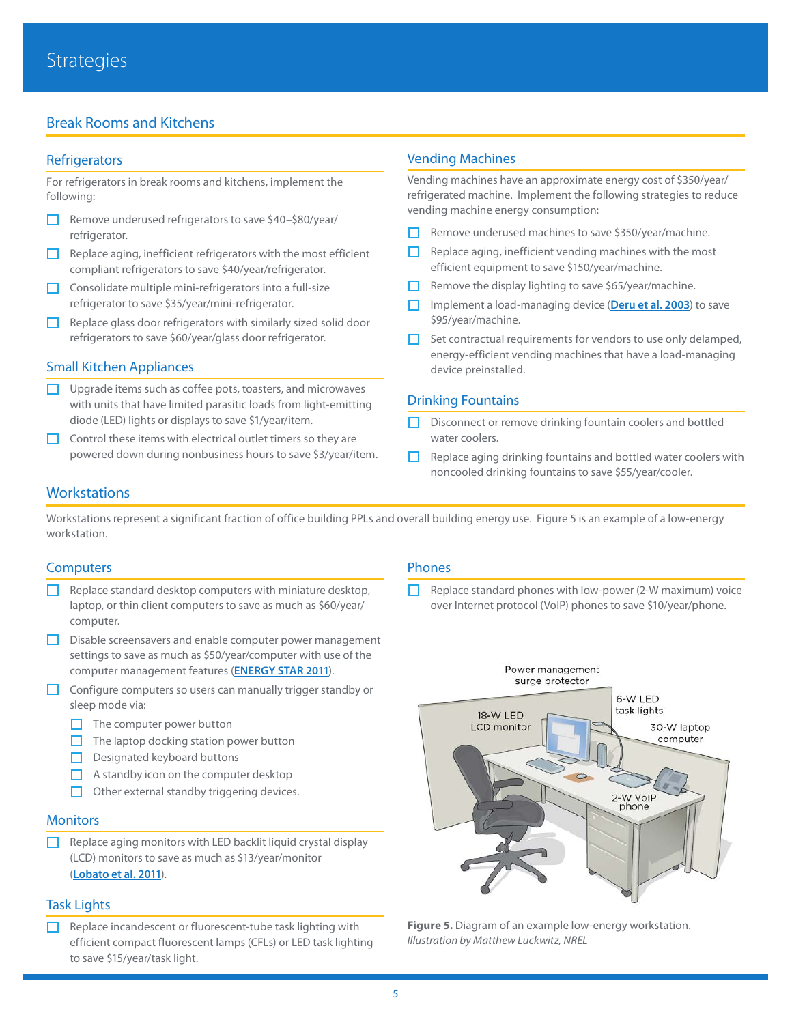## Break Rooms and Kitchens

#### **Refrigerators**

For refrigerators in break rooms and kitchens, implement the following:

- □ Remove underused refrigerators to save \$40-\$80/year/ refrigerator.
- $\Box$  Replace aging, inefficient refrigerators with the most efficient compliant refrigerators to save \$40/year/refrigerator.
- $\Box$  Consolidate multiple mini-refrigerators into a full-size refrigerator to save \$35/year/mini-refrigerator.
- $\Box$  Replace glass door refrigerators with similarly sized solid door refrigerators to save \$60/year/glass door refrigerator.

#### Small Kitchen Appliances

- $\Box$  Upgrade items such as coffee pots, toasters, and microwaves with units that have limited parasitic loads from light-emitting diode (LED) lights or displays to save \$1/year/item.
- $\Box$  Control these items with electrical outlet timers so they are powered down during nonbusiness hours to save \$3/year/item.

#### Vending Machines

Vending machines have an approximate energy cost of \$350/year/ refrigerated machine. Implement the following strategies to reduce vending machine energy consumption:

- $\Box$  Remove underused machines to save \$350/year/machine.
- $\Box$  Replace aging, inefficient vending machines with the most efficient equipment to save \$150/year/machine.
- $\Box$  Remove the display lighting to save \$65/year/machine.
- £ Implement a load-managing device (**[Deru et al. 2003](http://www.nrel.gov/docs/fy03osti/34008.pdf)**) to save \$95/year/machine.
- $\Box$  Set contractual requirements for vendors to use only delamped, energy-efficient vending machines that have a load-managing device preinstalled.

#### Drinking Fountains

- $\Box$  Disconnect or remove drinking fountain coolers and bottled water coolers.
- $\Box$  Replace aging drinking fountains and bottled water coolers with noncooled drinking fountains to save \$55/year/cooler.

## **Workstations**

Workstations represent a significant fraction of office building PPLs and overall building energy use. Figure 5 is an example of a low-energy workstation.

#### **Computers**

- Replace standard desktop computers with miniature desktop, laptop, or thin client computers to save as much as \$60/year/ computer.
- **D** Disable screensavers and enable computer power management settings to save as much as \$50/year/computer with use of the computer management features (**[ENERGY STAR 2011](http://www.energystar.gov/index.cfm?c=power_mgt.pr_power_mgt_low_carbon_join)**).
- $\Box$  Configure computers so users can manually trigger standby or sleep mode via:
	- $\Box$  The computer power button
	- $\Box$  The laptop docking station power button
	- $\Box$  Designated keyboard buttons
	- $\Box$  A standby icon on the computer desktop
	- $\Box$  Other external standby triggering devices.

#### **Monitors**

 $\Box$  Replace aging monitors with LED backlit liquid crystal display (LCD) monitors to save as much as \$13/year/monitor (**[Lobato et al. 2011](http://www.nrel.gov/docs/fy11osti/49002.pdf)**).

#### Task Lights

 $\Box$  Replace incandescent or fluorescent-tube task lighting with efficient compact fluorescent lamps (CFLs) or LED task lighting to save \$15/year/task light.

#### Phones

 $\Box$  Replace standard phones with low-power (2-W maximum) voice over Internet protocol (VoIP) phones to save \$10/year/phone.



**Figure 5.** Diagram of an example low-energy workstation. *Illustration by Matthew Luckwitz, NREL*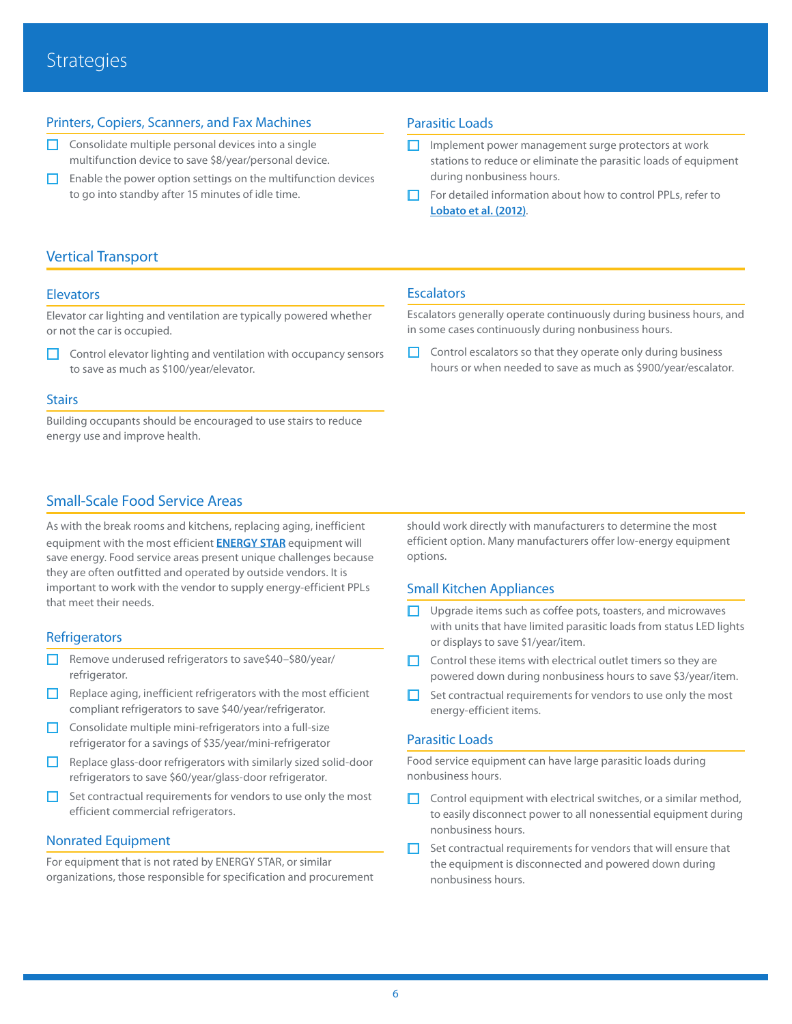## Printers, Copiers, Scanners, and Fax Machines

- $\Box$  Consolidate multiple personal devices into a single multifunction device to save \$8/year/personal device.
- $\Box$  Enable the power option settings on the multifunction devices to go into standby after 15 minutes of idle time.

#### Parasitic Loads

- $\Box$  Implement power management surge protectors at work stations to reduce or eliminate the parasitic loads of equipment during nonbusiness hours.
- £ For detailed information about how to control PPLs, refer to **[Lobato et al. \(2012\)](http://www.nrel.gov/docs/fy12osti/51708.pdf)**.

## Vertical Transport

#### **Elevators**

Elevator car lighting and ventilation are typically powered whether or not the car is occupied.

 $\Box$  Control elevator lighting and ventilation with occupancy sensors to save as much as \$100/year/elevator.

#### **Stairs**

Building occupants should be encouraged to use stairs to reduce energy use and improve health.

## Small-Scale Food Service Areas

As with the break rooms and kitchens, replacing aging, inefficient equipment with the most efficient **[ENERGY STAR](http://www.energystar.gov/index.cfm?c=products.pr_find_es_products)** equipment will save energy. Food service areas present unique challenges because they are often outfitted and operated by outside vendors. It is important to work with the vendor to supply energy-efficient PPLs that meet their needs.

#### **Refrigerators**

- £ Remove underused refrigerators to save\$40–\$80/year/ refrigerator.
- $\Box$  Replace aging, inefficient refrigerators with the most efficient compliant refrigerators to save \$40/year/refrigerator.
- $\Box$  Consolidate multiple mini-refrigerators into a full-size refrigerator for a savings of \$35/year/mini-refrigerator
- $\Box$  Replace glass-door refrigerators with similarly sized solid-door refrigerators to save \$60/year/glass-door refrigerator.
- $\Box$  Set contractual requirements for vendors to use only the most efficient commercial refrigerators.

#### Nonrated Equipment

For equipment that is not rated by ENERGY STAR, or similar organizations, those responsible for specification and procurement

#### in some cases continuously during nonbusiness hours.

**Escalators** 

 $\Box$  Control escalators so that they operate only during business hours or when needed to save as much as \$900/year/escalator.

Escalators generally operate continuously during business hours, and

should work directly with manufacturers to determine the most efficient option. Many manufacturers offer low-energy equipment options.

#### Small Kitchen Appliances

- Upgrade items such as coffee pots, toasters, and microwaves with units that have limited parasitic loads from status LED lights or displays to save \$1/year/item.
- $\Box$  Control these items with electrical outlet timers so they are powered down during nonbusiness hours to save \$3/year/item.
- $\Box$  Set contractual requirements for vendors to use only the most energy-efficient items.

#### Parasitic Loads

Food service equipment can have large parasitic loads during nonbusiness hours.

- $\Box$  Control equipment with electrical switches, or a similar method, to easily disconnect power to all nonessential equipment during nonbusiness hours.
- $\Box$  Set contractual requirements for vendors that will ensure that the equipment is disconnected and powered down during nonbusiness hours.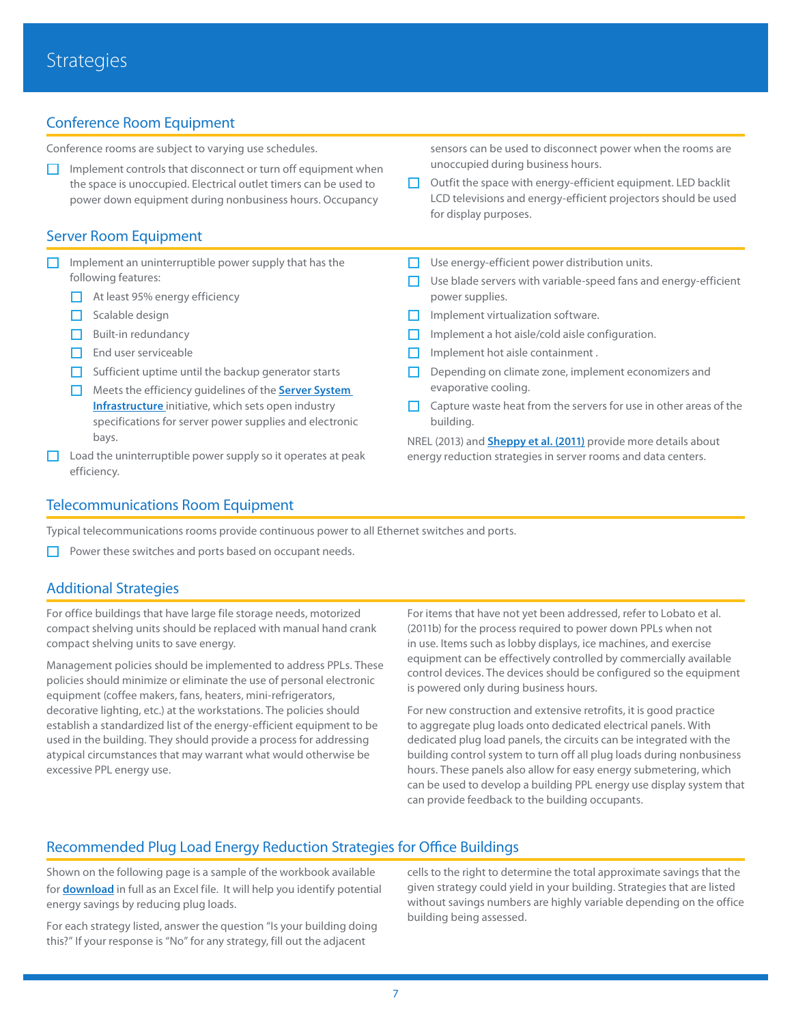## Conference Room Equipment

Conference rooms are subject to varying use schedules.

 $\Box$  Implement controls that disconnect or turn off equipment when the space is unoccupied. Electrical outlet timers can be used to power down equipment during nonbusiness hours. Occupancy

### Server Room Equipment

- $\Box$  Implement an uninterruptible power supply that has the following features:
	- At least 95% energy efficiency
	- $\Box$  Scalable design
	- Built-in redundancy
	- $\Box$  End user serviceable
	- $\Box$  Sufficient uptime until the backup generator starts
	- **E** Meets the efficiency guidelines of the **Server System [Infrastructure](https://ssiforum.org/)** initiative, which sets open industry specifications for server power supplies and electronic bays.
- $\Box$  Load the uninterruptible power supply so it operates at peak efficiency.

sensors can be used to disconnect power when the rooms are unoccupied during business hours.

- □ Outfit the space with energy-efficient equipment. LED backlit LCD televisions and energy-efficient projectors should be used for display purposes.
- $\Box$  Use energy-efficient power distribution units.
- $\Box$  Use blade servers with variable-speed fans and energy-efficient power supplies.
- $\Box$  Implement virtualization software.
- Implement a hot aisle/cold aisle configuration.
- $\Box$  Implement hot aisle containment.
- $\Box$  Depending on climate zone, implement economizers and evaporative cooling.
- Capture waste heat from the servers for use in other areas of the building.

NREL (2013) and **[Sheppy et al. \(2011\)](http://www.nrel.gov/docs/fy12osti/52785.pdf)** provide more details about energy reduction strategies in server rooms and data centers.

## Telecommunications Room Equipment

Typical telecommunications rooms provide continuous power to all Ethernet switches and ports.

 $\Box$  Power these switches and ports based on occupant needs.

#### Additional Strategies

For office buildings that have large file storage needs, motorized compact shelving units should be replaced with manual hand crank compact shelving units to save energy.

Management policies should be implemented to address PPLs. These policies should minimize or eliminate the use of personal electronic equipment (coffee makers, fans, heaters, mini-refrigerators, decorative lighting, etc.) at the workstations. The policies should establish a standardized list of the energy-efficient equipment to be used in the building. They should provide a process for addressing atypical circumstances that may warrant what would otherwise be excessive PPL energy use.

For items that have not yet been addressed, refer to Lobato et al. (2011b) for the process required to power down PPLs when not in use. Items such as lobby displays, ice machines, and exercise equipment can be effectively controlled by commercially available control devices. The devices should be configured so the equipment is powered only during business hours.

For new construction and extensive retrofits, it is good practice to aggregate plug loads onto dedicated electrical panels. With dedicated plug load panels, the circuits can be integrated with the building control system to turn off all plug loads during nonbusiness hours. These panels also allow for easy energy submetering, which can be used to develop a building PPL energy use display system that can provide feedback to the building occupants.

## Recommended Plug Load Energy Reduction Strategies for Office Buildings

Shown on the following page is a sample of the workbook available for **[download](http://www.nrel.gov/buildings/assets/docs/office_ppl_reduction_tool.xlsx)** in full as an Excel file. It will help you identify potential energy savings by reducing plug loads.

For each strategy listed, answer the question "Is your building doing this?" If your response is "No" for any strategy, fill out the adjacent

cells to the right to determine the total approximate savings that the given strategy could yield in your building. Strategies that are listed without savings numbers are highly variable depending on the office building being assessed.